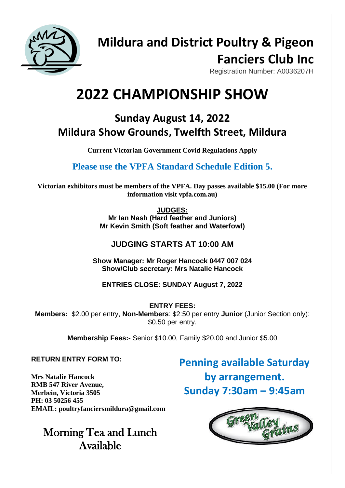

## **Mildura and District Poultry & Pigeon Fanciers Club Inc**

Registration Number: A0036207H

# **2022 CHAMPIONSHIP SHOW**

### **Sunday August 14, 2022 Mildura Show Grounds, Twelfth Street, Mildura**

**Current Victorian Government Covid Regulations Apply**

**Please use the VPFA Standard Schedule Edition 5.** 

**Victorian exhibitors must be members of the VPFA. Day passes available \$15.00 (For more information visit vpfa.com.au)**

**JUDGES:**

**Mr Ian Nash (Hard feather and Juniors) Mr Kevin Smith (Soft feather and Waterfowl)**

### **JUDGING STARTS AT 10:00 AM**

**Show Manager: Mr Roger Hancock 0447 007 024 Show/Club secretary: Mrs Natalie Hancock**

**ENTRIES CLOSE: SUNDAY August 7, 2022**

**ENTRY FEES: Members:** \$2.00 per entry, **Non-Members**: \$2:50 per entry **Junior** (Junior Section only): \$0.50 per entry.

**Membership Fees:-** Senior \$10.00, Family \$20.00 and Junior \$5.00

### **RETURN ENTRY FORM TO:**

**Mrs Natalie Hancock RMB 547 River Avenue, Merbein, Victoria 3505 PH: 03 50256 455 EMAIL: poultryfanciersmildura@gmail.com**

### Morning Tea and Lunch Available

**Penning available Saturday by arrangement. Sunday 7:30am – 9:45am**